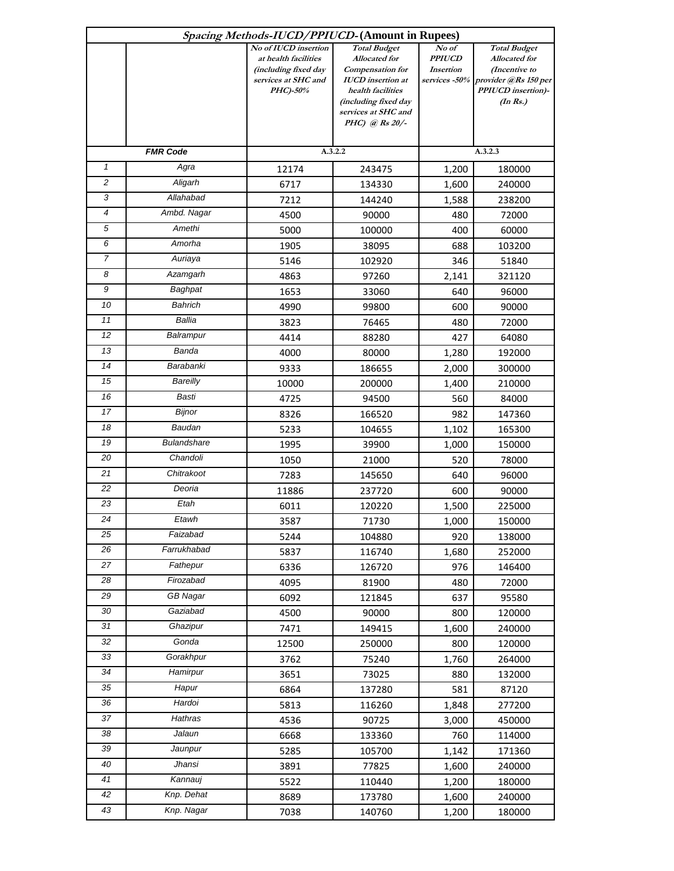| Spacing Methods-IUCD/PPIUCD-(Amount in Rupees) |                    |                                              |                                             |                            |                                |  |  |  |
|------------------------------------------------|--------------------|----------------------------------------------|---------------------------------------------|----------------------------|--------------------------------|--|--|--|
|                                                |                    | No of <b>IUCD</b> insertion                  | <b>Total Budget</b>                         | No of                      | <b>Total Budget</b>            |  |  |  |
|                                                |                    | at health facilities<br>(including fixed day | <b>Allocated</b> for<br>Compensation for    | <b>PPIUCD</b><br>Insertion | Allocated for<br>(Incentive to |  |  |  |
|                                                |                    | services at SHC and                          | <b>IUCD</b> insertion at                    | services -50%              | provider @Rs 150 per           |  |  |  |
|                                                |                    | PHC)-50%                                     | health facilities                           |                            | <b>PPIUCD</b> insertion)-      |  |  |  |
|                                                |                    |                                              | (including fixed day<br>services at SHC and |                            | $(In\, Rs.)$                   |  |  |  |
|                                                |                    |                                              | PHC) @ $Rs 20/-$                            |                            |                                |  |  |  |
|                                                |                    |                                              |                                             |                            |                                |  |  |  |
| <b>FMR Code</b>                                |                    | A.3.2.2                                      |                                             | A.3.2.3                    |                                |  |  |  |
| $\mathbf{1}$                                   | Agra               | 12174                                        | 243475                                      | 1,200                      | 180000                         |  |  |  |
| $\overline{c}$                                 | Aligarh            | 6717                                         | 134330                                      | 1,600                      | 240000                         |  |  |  |
| 3                                              | Allahabad          | 7212                                         | 144240                                      | 1,588                      | 238200                         |  |  |  |
| $\overline{4}$                                 | Ambd. Nagar        | 4500                                         | 90000                                       | 480                        | 72000                          |  |  |  |
| 5                                              | Amethi             | 5000                                         | 100000                                      | 400                        | 60000                          |  |  |  |
| 6                                              | Amorha             | 1905                                         | 38095                                       | 688                        | 103200                         |  |  |  |
| $\overline{7}$                                 | Auriaya            | 5146                                         | 102920                                      | 346                        | 51840                          |  |  |  |
| 8                                              | Azamgarh           | 4863                                         | 97260                                       | 2,141                      | 321120                         |  |  |  |
| $\boldsymbol{9}$                               | Baghpat            | 1653                                         | 33060                                       | 640                        | 96000                          |  |  |  |
| 10                                             | Bahrich            | 4990                                         | 99800                                       | 600                        | 90000                          |  |  |  |
| 11                                             | Ballia             | 3823                                         | 76465                                       | 480                        | 72000                          |  |  |  |
| 12                                             | Balrampur          | 4414                                         | 88280                                       | 427                        | 64080                          |  |  |  |
| 13                                             | Banda              | 4000                                         | 80000                                       | 1,280                      | 192000                         |  |  |  |
| 14                                             | Barabanki          | 9333                                         | 186655                                      | 2,000                      | 300000                         |  |  |  |
| 15                                             | <b>Bareilly</b>    | 10000                                        | 200000                                      | 1,400                      | 210000                         |  |  |  |
| 16                                             | <b>Basti</b>       | 4725                                         | 94500                                       | 560                        | 84000                          |  |  |  |
| 17                                             | Bijnor             | 8326                                         | 166520                                      | 982                        | 147360                         |  |  |  |
| 18                                             | Baudan             | 5233                                         | 104655                                      | 1,102                      | 165300                         |  |  |  |
| 19                                             | <b>Bulandshare</b> | 1995                                         | 39900                                       | 1,000                      | 150000                         |  |  |  |
| 20                                             | Chandoli           | 1050                                         | 21000                                       | 520                        | 78000                          |  |  |  |
| 21                                             | Chitrakoot         | 7283                                         | 145650                                      | 640                        | 96000                          |  |  |  |
| 22                                             | Deoria             | 11886                                        | 237720                                      | 600                        | 90000                          |  |  |  |
| 23                                             | Etah               | 6011                                         | 120220                                      | 1,500                      | 225000                         |  |  |  |
| 24                                             | Etawh              | 3587                                         | 71730                                       | 1,000                      | 150000                         |  |  |  |
| 25                                             | Faizabad           | 5244                                         | 104880                                      | 920                        | 138000                         |  |  |  |
| 26                                             | Farrukhabad        | 5837                                         | 116740                                      | 1,680                      | 252000                         |  |  |  |
| 27                                             | Fathepur           | 6336                                         | 126720                                      | 976                        | 146400                         |  |  |  |
| 28                                             | Firozabad          | 4095                                         | 81900                                       | 480                        | 72000                          |  |  |  |
| 29                                             | <b>GB Nagar</b>    | 6092                                         | 121845                                      | 637                        | 95580                          |  |  |  |
| 30                                             | Gaziabad           | 4500                                         | 90000                                       | 800                        | 120000                         |  |  |  |
| 31                                             | Ghazipur           | 7471                                         | 149415                                      | 1,600                      | 240000                         |  |  |  |
| $\overline{32}$                                | Gonda              | 12500                                        | 250000                                      | 800                        | 120000                         |  |  |  |
| 33                                             | Gorakhpur          | 3762                                         | 75240                                       | 1,760                      | 264000                         |  |  |  |
| $\overline{34}$                                | Hamirpur           | 3651                                         | 73025                                       | 880                        | 132000                         |  |  |  |
| 35                                             | Hapur              | 6864                                         | 137280                                      | 581                        | 87120                          |  |  |  |
| 36                                             | Hardoi             | 5813                                         | 116260                                      | 1,848                      | 277200                         |  |  |  |
| 37                                             | Hathras            | 4536                                         | 90725                                       | 3,000                      | 450000                         |  |  |  |
| 38                                             | Jalaun             | 6668                                         | 133360                                      | 760                        | 114000                         |  |  |  |
| 39                                             | Jaunpur            | 5285                                         | 105700                                      | 1,142                      | 171360                         |  |  |  |
| 40                                             | Jhansi             | 3891                                         | 77825                                       | 1,600                      | 240000                         |  |  |  |
| $\overline{41}$                                | Kannauj            | 5522                                         | 110440                                      | 1,200                      | 180000                         |  |  |  |
| 42                                             | Knp. Dehat         | 8689                                         | 173780                                      | 1,600                      | 240000                         |  |  |  |
| 43                                             | Knp. Nagar         | 7038                                         | 140760                                      | 1,200                      | 180000                         |  |  |  |
|                                                |                    |                                              |                                             |                            |                                |  |  |  |